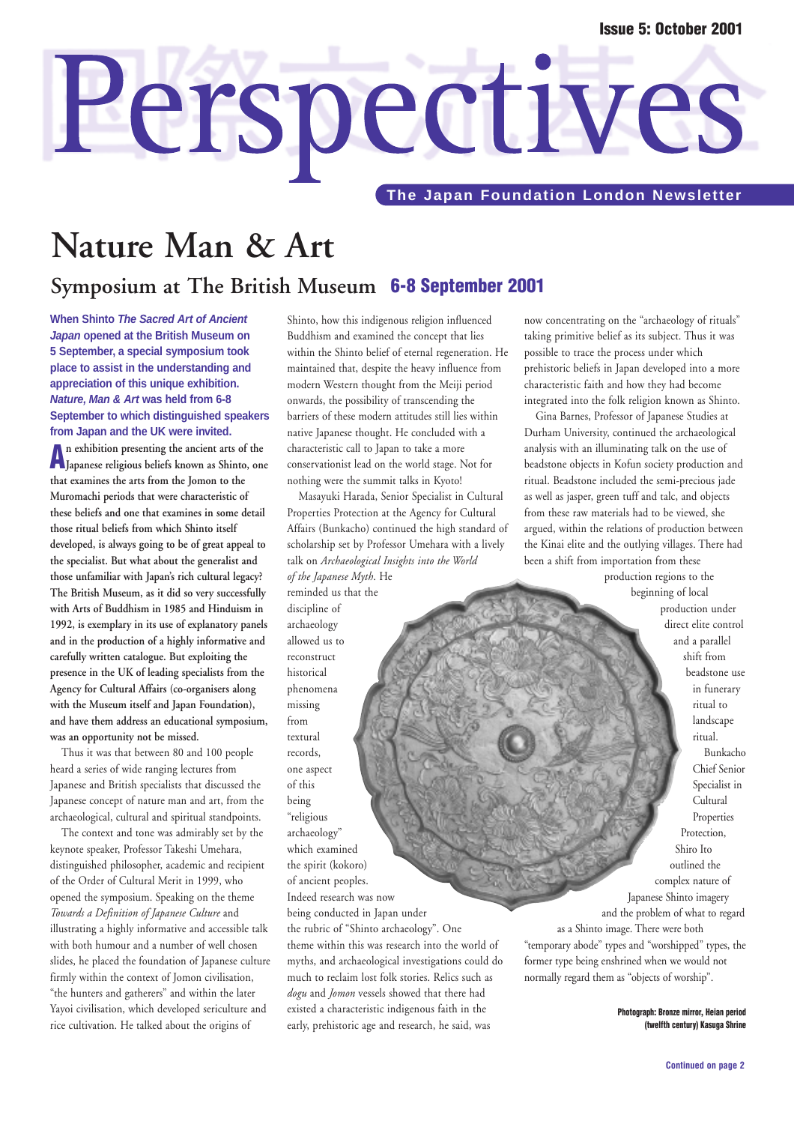# Perspectives

**The Japan Foundation London Newsletter** 

# **Nature Man & Art**

## **Symposium at The British Museum 6-8 September 2001**

**When Shinto The Sacred Art of Ancient Japan opened at the British Museum on 5 September, a special symposium took place to assist in the understanding and appreciation of this unique exhibition. Nature, Man & Art was held from 6-8 September to which distinguished speakers from Japan and the UK were invited.**

**An exhibition presenting the ancient arts of the Japanese religious beliefs known as Shinto, one that examines the arts from the Jomon to the Muromachi periods that were characteristic of these beliefs and one that examines in some detail those ritual beliefs from which Shinto itself developed, is always going to be of great appeal to the specialist. But what about the generalist and those unfamiliar with Japan's rich cultural legacy? The British Museum, as it did so very successfully with Arts of Buddhism in 1985 and Hinduism in 1992, is exemplary in its use of explanatory panels and in the production of a highly informative and carefully written catalogue. But exploiting the presence in the UK of leading specialists from the Agency for Cultural Affairs (co-organisers along with the Museum itself and Japan Foundation), and have them address an educational symposium, was an opportunity not be missed.**

Thus it was that between 80 and 100 people heard a series of wide ranging lectures from Japanese and British specialists that discussed the Japanese concept of nature man and art, from the archaeological, cultural and spiritual standpoints.

The context and tone was admirably set by the keynote speaker, Professor Takeshi Umehara, distinguished philosopher, academic and recipient of the Order of Cultural Merit in 1999, who opened the symposium. Speaking on the theme *Towards a Definition of Japanese Culture* and illustrating a highly informative and accessible talk with both humour and a number of well chosen slides, he placed the foundation of Japanese culture firmly within the context of Jomon civilisation, "the hunters and gatherers" and within the later Yayoi civilisation, which developed sericulture and rice cultivation. He talked about the origins of

Shinto, how this indigenous religion influenced Buddhism and examined the concept that lies within the Shinto belief of eternal regeneration. He maintained that, despite the heavy influence from modern Western thought from the Meiji period onwards, the possibility of transcending the barriers of these modern attitudes still lies within native Japanese thought. He concluded with a characteristic call to Japan to take a more conservationist lead on the world stage. Not for nothing were the summit talks in Kyoto!

Masayuki Harada, Senior Specialist in Cultural Properties Protection at the Agency for Cultural Affairs (Bunkacho) continued the high standard of scholarship set by Professor Umehara with a lively talk on *Archaeological Insights into the World of the Japanese Myth*. He reminded us that the

discipline of archaeology allowed us to reconstruct historical phenomena missing from textural records, one aspect of this being "religious archaeology" which examined the spirit (kokoro) of ancient peoples. Indeed research was now being conducted in Japan under the rubric of "Shinto archaeology". One theme within this was research into the world of myths, and archaeological investigations could do much to reclaim lost folk stories. Relics such as *dogu* and *Jomon* vessels showed that there had existed a characteristic indigenous faith in the early, prehistoric age and research, he said, was

now concentrating on the "archaeology of rituals" taking primitive belief as its subject. Thus it was possible to trace the process under which prehistoric beliefs in Japan developed into a more characteristic faith and how they had become integrated into the folk religion known as Shinto.

Gina Barnes, Professor of Japanese Studies at Durham University, continued the archaeological analysis with an illuminating talk on the use of beadstone objects in Kofun society production and ritual. Beadstone included the semi-precious jade as well as jasper, green tuff and talc, and objects from these raw materials had to be viewed, she argued, within the relations of production between the Kinai elite and the outlying villages. There had been a shift from importation from these

production regions to the beginning of local production under direct elite control and a parallel shift from beadstone use in funerary ritual to landscape ritual. Bunkacho Chief Senior Specialist in Cultural Properties Protection, Shiro Ito outlined the complex nature of Japanese Shinto imagery and the problem of what to regard as a Shinto image. There were both "temporary abode" types and "worshipped" types, the former type being enshrined when we would not normally regard them as "objects of worship".

> **Photograph: Bronze mirror, Heian period (twelfth century) Kasuga Shrine**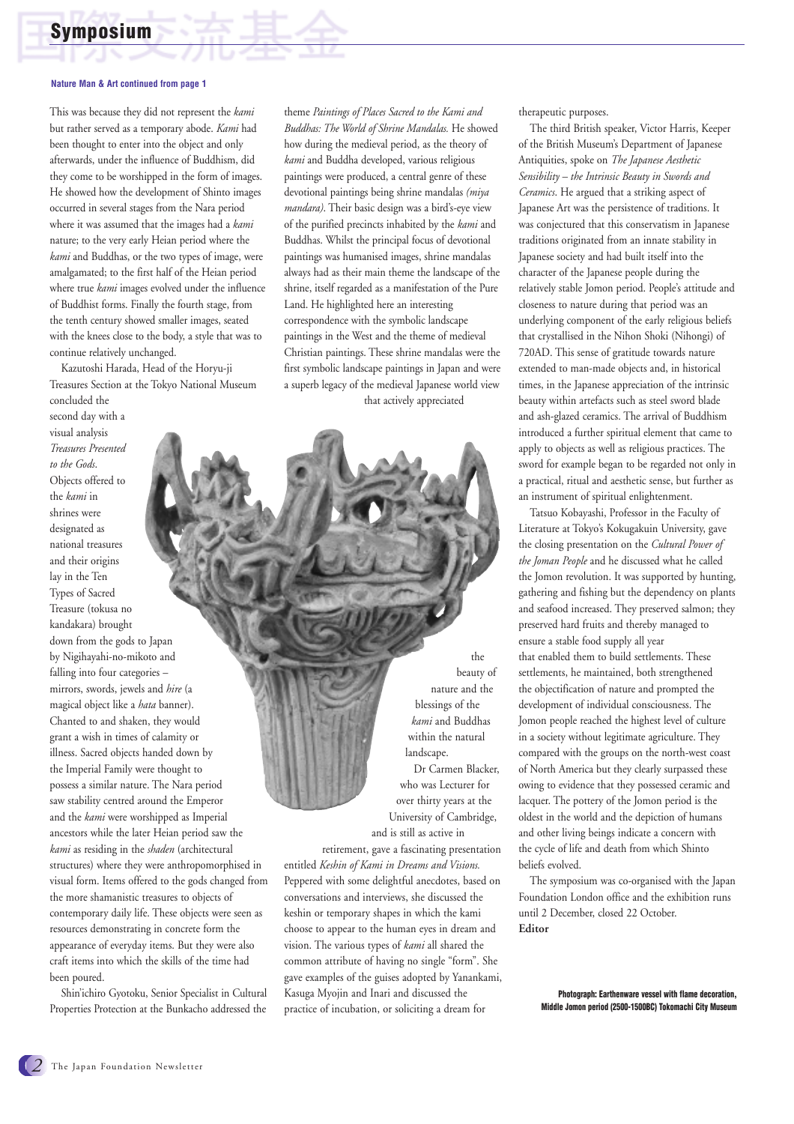

#### **Nature Man & Art continued from page 1**

This was because they did not represent the *kami* but rather served as a temporary abode. *Kami* had been thought to enter into the object and only afterwards, under the influence of Buddhism, did they come to be worshipped in the form of images. He showed how the development of Shinto images occurred in several stages from the Nara period where it was assumed that the images had a *kami* nature; to the very early Heian period where the *kami* and Buddhas, or the two types of image, were amalgamated; to the first half of the Heian period where true *kami* images evolved under the influence of Buddhist forms. Finally the fourth stage, from the tenth century showed smaller images, seated with the knees close to the body, a style that was to continue relatively unchanged.

Kazutoshi Harada, Head of the Horyu-ji Treasures Section at the Tokyo National Museum

concluded the second day with a visual analysis *Treasures Presented to the Gods*. Objects offered to the *kami* in shrines were designated as national treasures and their origins lay in the Ten Types of Sacred Treasure (tokusa no kandakara) brought down from the gods to Japan by Nigihayahi-no-mikoto and falling into four categories – mirrors, swords, jewels and *hire* (a magical object like a *hata* banner). Chanted to and shaken, they would grant a wish in times of calamity or illness. Sacred objects handed down by the Imperial Family were thought to possess a similar nature. The Nara period saw stability centred around the Emperor and the *kami* were worshipped as Imperial ancestors while the later Heian period saw the *kami* as residing in the *shaden* (architectural structures) where they were anthropomorphised in visual form. Items offered to the gods changed from the more shamanistic treasures to objects of contemporary daily life. These objects were seen as resources demonstrating in concrete form the appearance of everyday items. But they were also craft items into which the skills of the time had been poured.

Shin'ichiro Gyotoku, Senior Specialist in Cultural Properties Protection at the Bunkacho addressed the

theme *Paintings of Places Sacred to the Kami and Buddhas: The World of Shrine Mandalas.* He showed how during the medieval period, as the theory of *kami* and Buddha developed, various religious paintings were produced, a central genre of these devotional paintings being shrine mandalas *(miya mandara)*. Their basic design was a bird's-eye view of the purified precincts inhabited by the *kami* and Buddhas. Whilst the principal focus of devotional paintings was humanised images, shrine mandalas always had as their main theme the landscape of the shrine, itself regarded as a manifestation of the Pure Land. He highlighted here an interesting correspondence with the symbolic landscape paintings in the West and the theme of medieval Christian paintings. These shrine mandalas were the first symbolic landscape paintings in Japan and were a superb legacy of the medieval Japanese world view

that actively appreciated

the beauty of nature and the blessings of the *kami* and Buddhas within the natural landscape. Dr Carmen Blacker, who was Lecturer for over thirty years at the University of Cambridge, and is still as active in

retirement, gave a fascinating presentation entitled *Keshin of Kami in Dreams and Visions.* Peppered with some delightful anecdotes, based on conversations and interviews, she discussed the keshin or temporary shapes in which the kami choose to appear to the human eyes in dream and vision. The various types of *kami* all shared the common attribute of having no single "form". She gave examples of the guises adopted by Yanankami, Kasuga Myojin and Inari and discussed the practice of incubation, or soliciting a dream for

therapeutic purposes.

The third British speaker, Victor Harris, Keeper of the British Museum's Department of Japanese Antiquities, spoke on *The Japanese Aesthetic Sensibility – the Intrinsic Beauty in Swords and Ceramics*. He argued that a striking aspect of Japanese Art was the persistence of traditions. It was conjectured that this conservatism in Japanese traditions originated from an innate stability in Japanese society and had built itself into the character of the Japanese people during the relatively stable Jomon period. People's attitude and closeness to nature during that period was an underlying component of the early religious beliefs that crystallised in the Nihon Shoki (Nihongi) of 720AD. This sense of gratitude towards nature extended to man-made objects and, in historical times, in the Japanese appreciation of the intrinsic beauty within artefacts such as steel sword blade and ash-glazed ceramics. The arrival of Buddhism introduced a further spiritual element that came to apply to objects as well as religious practices. The sword for example began to be regarded not only in a practical, ritual and aesthetic sense, but further as an instrument of spiritual enlightenment.

Tatsuo Kobayashi, Professor in the Faculty of Literature at Tokyo's Kokugakuin University, gave the closing presentation on the *Cultural Power of the Joman People* and he discussed what he called the Jomon revolution. It was supported by hunting, gathering and fishing but the dependency on plants and seafood increased. They preserved salmon; they preserved hard fruits and thereby managed to ensure a stable food supply all year that enabled them to build settlements. These settlements, he maintained, both strengthened the objectification of nature and prompted the development of individual consciousness. The Jomon people reached the highest level of culture in a society without legitimate agriculture. They compared with the groups on the north-west coast of North America but they clearly surpassed these owing to evidence that they possessed ceramic and lacquer. The pottery of the Jomon period is the oldest in the world and the depiction of humans and other living beings indicate a concern with the cycle of life and death from which Shinto beliefs evolved.

The symposium was co-organised with the Japan Foundation London office and the exhibition runs until 2 December, closed 22 October. **Editor** 

> **Photograph: Earthenware vessel with flame decoration, Middle Jomon period (2500-1500BC) Tokomachi City Museum**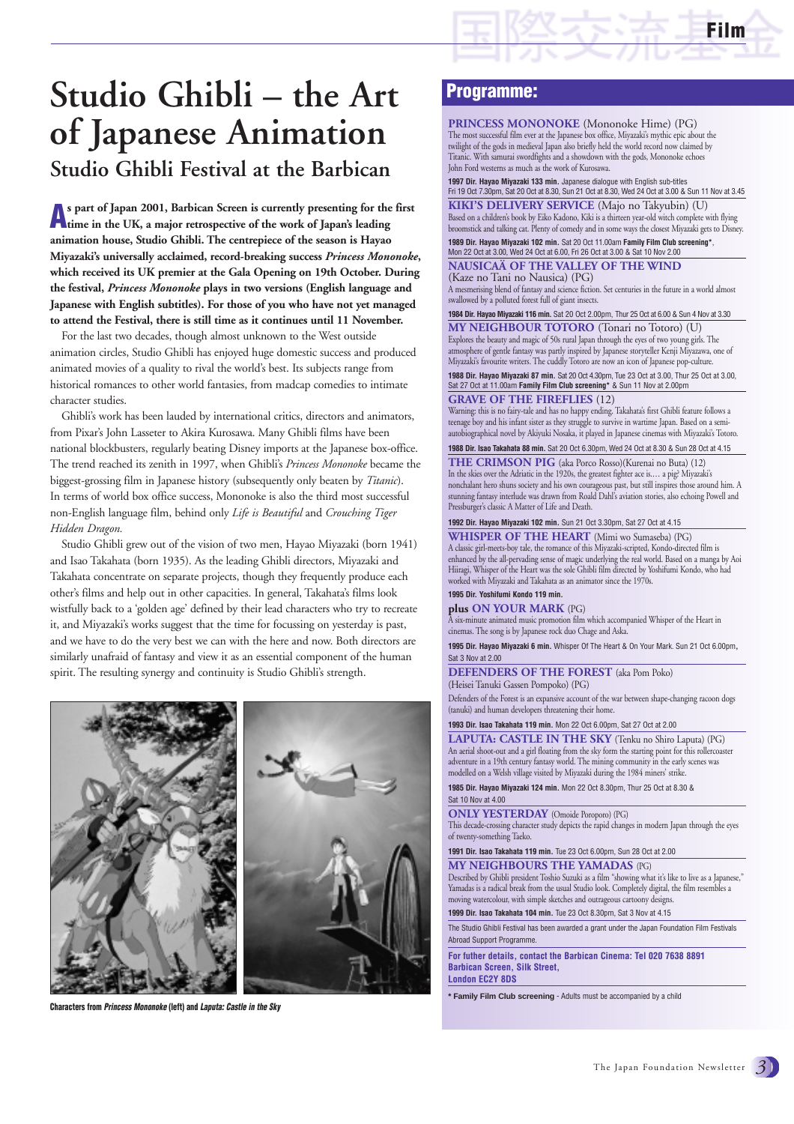

# **Studio Ghibli Festival at the Barbican Studio Ghibli – the Art of Japanese Animation**

**As part of Japan 2001, Barbican Screen is currently presenting for the first time in the UK, a major retrospective of the work of Japan's leading animation house, Studio Ghibli. The centrepiece of the season is Hayao Miyazaki's universally acclaimed, record-breaking success** *Princess Mononoke***, which received its UK premier at the Gala Opening on 19th October. During the festival,** *Princess Mononoke* **plays in two versions (English language and Japanese with English subtitles). For those of you who have not yet managed to attend the Festival, there is still time as it continues until 11 November.** 

For the last two decades, though almost unknown to the West outside animation circles, Studio Ghibli has enjoyed huge domestic success and produced animated movies of a quality to rival the world's best. Its subjects range from historical romances to other world fantasies, from madcap comedies to intimate character studies.

Ghibli's work has been lauded by international critics, directors and animators, from Pixar's John Lasseter to Akira Kurosawa. Many Ghibli films have been national blockbusters, regularly beating Disney imports at the Japanese box-office. The trend reached its zenith in 1997, when Ghibli's *Princess Mononoke* became the biggest-grossing film in Japanese history (subsequently only beaten by *Titanic*). In terms of world box office success, Mononoke is also the third most successful non-English language film, behind only *Life is Beautiful* and *Crouching Tiger Hidden Dragon.*

Studio Ghibli grew out of the vision of two men, Hayao Miyazaki (born 1941) and Isao Takahata (born 1935). As the leading Ghibli directors, Miyazaki and Takahata concentrate on separate projects, though they frequently produce each other's films and help out in other capacities. In general, Takahata's films look wistfully back to a 'golden age' defined by their lead characters who try to recreate it, and Miyazaki's works suggest that the time for focussing on yesterday is past, and we have to do the very best we can with the here and now. Both directors are similarly unafraid of fantasy and view it as an essential component of the human spirit. The resulting synergy and continuity is Studio Ghibli's strength.



**Characters from** *Princess Mononoke* **(left) and** *Laputa: Castle in the Sky*

#### **Programme:**

**PRINCESS MONONOKE** (Mononoke Hime) (PG) The most successful film ever at the Japanese box office, Miyazaki's mythic epic about the twilight of the gods in medieval Japan also briefly held the world record now claimed by Titanic. With samurai swordfights and a showdown with the gods, Mononoke echoes John Ford westerns as much as the work of Kurosawa.

**1997 Dir. Hayao Miyazaki 133 min.** Japanese dialogue with English sub-titles<br>Fri 19 Oct 7.30pm, Sat 20 Oct at 8.30, Sun 21 Oct at 8.30, Wed 24 Oct at 3.00 & Sun 11 Nov at 3.45

**KIKI'S DELIVERY SERVICE** (Majo no Takyubin) (U) Based on a children's book by Eiko Kadono, Kiki is a thirteen year-old witch complete with flying broomstick and talking cat. Plenty of comedy and in some ways the closest Miyazaki gets to Disney. **1989 Dir. Hayao Miyazaki 102 min.** Sat 20 Oct 11.00am **Family Film Club screening\***,

Mon 22 Oct at 3.00, Wed 24 Oct at 6.00, Fri 26 Oct at 3.00 & Sat 10 Nov 2.00

**NAUSICAÄ OF THE VALLEY OF THE WIND**  (Kaze no Tani no Nausica) (PG) A mesmerising blend of fantasy and science fiction. Set centuries in the future in a world almost

swallowed by a polluted forest full of giant insects.

**1984 Dir. Hayao Miyazaki 116 min.** Sat 20 Oct 2.00pm, Thur 25 Oct at 6.00 & Sun 4 Nov at 3.30

**MY NEIGHBOUR TOTORO** (Tonari no Totoro) (U) Explores the beauty and magic of 50s rural Japan through the eyes of two young girls. The atmosphere of gentle fantasy was partly inspired by Japanese storyteller Kenji Miyazawa, one of Miyazaki's favourite writers. The cuddly Totoro are now an icon of Japanese pop-culture.

**1988 Dir. Hayao Miyazaki 87 min.** Sat 20 Oct 4.30pm, Tue 23 Oct at 3.00, Thur 25 Oct at 3.00, Sat 27 Oct at 11.00am **Family Film Club screening\*** & Sun 11 Nov at 2.00pm

#### **GRAVE OF THE FIREFLIES** (12)

Warning: this is no fairy-tale and has no happy ending. Takahata's first Ghibli feature follows a teenage boy and his infant sister as they struggle to survive in wartime Japan. Based on a semiautobiographical novel by Akiyuki Nosaka, it played in Japanese cinemas with Miyazaki's Totoro.

**1988 Dir. Isao Takahata 88 min.** Sat 20 Oct 6.30pm, Wed 24 Oct at 8.30 & Sun 28 Oct at 4.15

**THE CRIMSON PIG** (aka Porco Rosso)(Kurenai no Buta) (12) In the skies over the Adriatic in the 1920s, the greatest fighter ace is.… a pig? Miyazaki's nonchalant hero shuns society and his own courageous past, but still inspires those around him. A stunning fantasy interlude was drawn from Roald Dahl's aviation stories, also echoing Powell and Pressburger's classic A Matter of Life and Death.

**1992 Dir. Hayao Miyazaki 102 min.** Sun 21 Oct 3.30pm, Sat 27 Oct at 4.15

**WHISPER OF THE HEART** (Mimi wo Sumaseba) (PG) A classic girl-meets-boy tale, the romance of this Miyazaki-scripted, Kondo-directed film is enhanced by the all-pervading sense of magic underlying the real world. Based on a manga by Aoi Hiiragi, Whisper of the Heart was the sole Ghibli film directed by Yoshifumi Kondo, who had worked with Miyazaki and Takahata as an animator since the 1970s. **1995 Dir. Yoshifumi Kondo 119 min.** 

**plus ON YOUR MARK** (PG)

A six-minute animated music promotion film which accompanied Whisper of the Heart in cinemas. The song is by Japanese rock duo Chage and Aska.

#### **1995 Dir. Hayao Miyazaki 6 min.** Whisper Of The Heart & On Your Mark. Sun 21 Oct 6.00pm**,** Sat 3 Nov at 2.00

**DEFENDERS OF THE FOREST** (aka Pom Poko) (Heisei Tanuki Gassen Pompoko) (PG)

Defenders of the Forest is an expansive account of the war between shape-changing racoon dogs (tanuki) and human developers threatening their home.

#### **1993 Dir. Isao Takahata 119 min.** Mon 22 Oct 6.00pm, Sat 27 Oct at 2.00

**LAPUTA: CASTLE IN THE SKY** (Tenku no Shiro Laputa) (PG) An aerial shoot-out and a girl floating from the sky form the starting point for this rollercoaster adventure in a 19th century fantasy world. The mining community in the early scenes was modelled on a Welsh village visited by Miyazaki during the 1984 miners' strike.

**1985 Dir. Hayao Miyazaki 124 min.** Mon 22 Oct 8.30pm, Thur 25 Oct at 8.30 & Sat 10 Nov at 4.00

#### **ONLY YESTERDAY** (Omoide Poroporo) (PG)

This decade-crossing character study depicts the rapid changes in modern Japan through the eyes of twenty-something Taeko.

#### **1991 Dir. Isao Takahata 119 min.** Tue 23 Oct 6.00pm, Sun 28 Oct at 2.00

**MY NEIGHBOURS THE YAMADAS** (PG)

Described by Ghibli president Toshio Suzuki as a film "showing what it's like to live as a Japanese," Yamadas is a radical break from the usual Studio look. Completely digital, the film resembles a moving watercolour, with simple sketches and outrageous cartoony designs.

**1999 Dir. Isao Takahata 104 min.** Tue 23 Oct 8.30pm, Sat 3 Nov at 4.15

The Studio Ghibli Festival has been awarded a grant under the Japan Foundation Film Festivals Abroad Support Programme.

#### **For futher details, contact the Barbican Cinema: Tel 020 7638 8891 Barbican Screen, Silk Street, London EC2Y 8DS**

**\* Family Film Club screening** - Adults must be accompanied by a child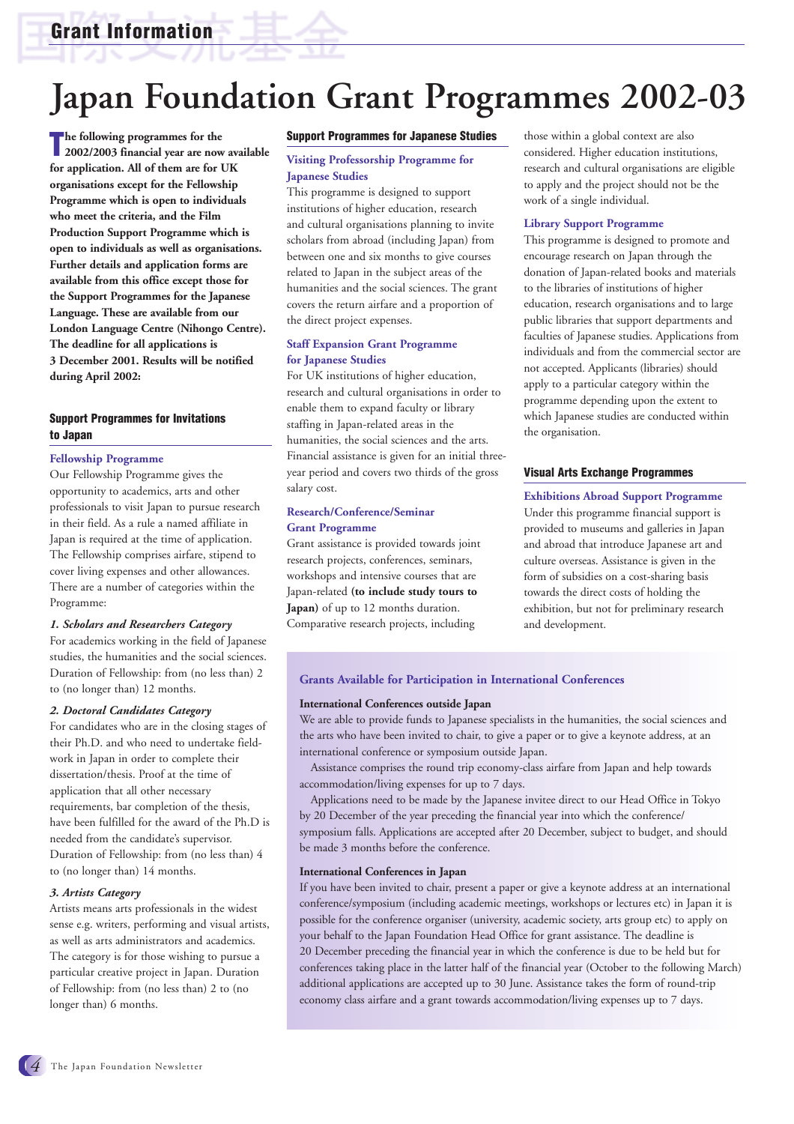## **Grant Information**

# **Japan Foundation Grant Programmes 2002-03**

The following programmes for the<br>2002/2003 financial year are now available **he following programmes for the for application. All of them are for UK organisations except for the Fellowship Programme which is open to individuals who meet the criteria, and the Film Production Support Programme which is open to individuals as well as organisations. Further details and application forms are available from this office except those for the Support Programmes for the Japanese Language. These are available from our London Language Centre (Nihongo Centre). The deadline for all applications is 3 December 2001. Results will be notified during April 2002:** 

#### **Support Programmes for Invitations to Japan**

#### **Fellowship Programme**

Our Fellowship Programme gives the opportunity to academics, arts and other professionals to visit Japan to pursue research in their field. As a rule a named affiliate in Japan is required at the time of application. The Fellowship comprises airfare, stipend to cover living expenses and other allowances. There are a number of categories within the Programme:

#### *1. Scholars and Researchers Category*

For academics working in the field of Japanese studies, the humanities and the social sciences. Duration of Fellowship: from (no less than) 2 to (no longer than) 12 months.

#### *2. Doctoral Candidates Category*

For candidates who are in the closing stages of their Ph.D. and who need to undertake fieldwork in Japan in order to complete their dissertation/thesis. Proof at the time of application that all other necessary requirements, bar completion of the thesis, have been fulfilled for the award of the Ph.D is needed from the candidate's supervisor. Duration of Fellowship: from (no less than) 4 to (no longer than) 14 months.

#### *3. Artists Category*

Artists means arts professionals in the widest sense e.g. writers, performing and visual artists, as well as arts administrators and academics. The category is for those wishing to pursue a particular creative project in Japan. Duration of Fellowship: from (no less than) 2 to (no longer than) 6 months.

#### **Support Programmes for Japanese Studies**

#### **Visiting Professorship Programme for Japanese Studies**

This programme is designed to support institutions of higher education, research and cultural organisations planning to invite scholars from abroad (including Japan) from between one and six months to give courses related to Japan in the subject areas of the humanities and the social sciences. The grant covers the return airfare and a proportion of the direct project expenses.

#### **Staff Expansion Grant Programme for Japanese Studies**

For UK institutions of higher education, research and cultural organisations in order to enable them to expand faculty or library staffing in Japan-related areas in the humanities, the social sciences and the arts. Financial assistance is given for an initial threeyear period and covers two thirds of the gross salary cost.

#### **Research/Conference/Seminar Grant Programme**

Grant assistance is provided towards joint research projects, conferences, seminars, workshops and intensive courses that are Japan-related **(to include study tours to Japan)** of up to 12 months duration. Comparative research projects, including

those within a global context are also considered. Higher education institutions, research and cultural organisations are eligible to apply and the project should not be the work of a single individual.

#### **Library Support Programme**

This programme is designed to promote and encourage research on Japan through the donation of Japan-related books and materials to the libraries of institutions of higher education, research organisations and to large public libraries that support departments and faculties of Japanese studies. Applications from individuals and from the commercial sector are not accepted. Applicants (libraries) should apply to a particular category within the programme depending upon the extent to which Japanese studies are conducted within the organisation.

#### **Visual Arts Exchange Programmes**

**Exhibitions Abroad Support Programme** Under this programme financial support is provided to museums and galleries in Japan and abroad that introduce Japanese art and culture overseas. Assistance is given in the form of subsidies on a cost-sharing basis towards the direct costs of holding the exhibition, but not for preliminary research and development.

#### **Grants Available for Participation in International Conferences**

#### **International Conferences outside Japan**

We are able to provide funds to Japanese specialists in the humanities, the social sciences and the arts who have been invited to chair, to give a paper or to give a keynote address, at an international conference or symposium outside Japan.

Assistance comprises the round trip economy-class airfare from Japan and help towards accommodation/living expenses for up to 7 days.

Applications need to be made by the Japanese invitee direct to our Head Office in Tokyo by 20 December of the year preceding the financial year into which the conference/ symposium falls. Applications are accepted after 20 December, subject to budget, and should be made 3 months before the conference.

#### **International Conferences in Japan**

If you have been invited to chair, present a paper or give a keynote address at an international conference/symposium (including academic meetings, workshops or lectures etc) in Japan it is possible for the conference organiser (university, academic society, arts group etc) to apply on your behalf to the Japan Foundation Head Office for grant assistance. The deadline is 20 December preceding the financial year in which the conference is due to be held but for conferences taking place in the latter half of the financial year (October to the following March) additional applications are accepted up to 30 June. Assistance takes the form of round-trip economy class airfare and a grant towards accommodation/living expenses up to 7 days.

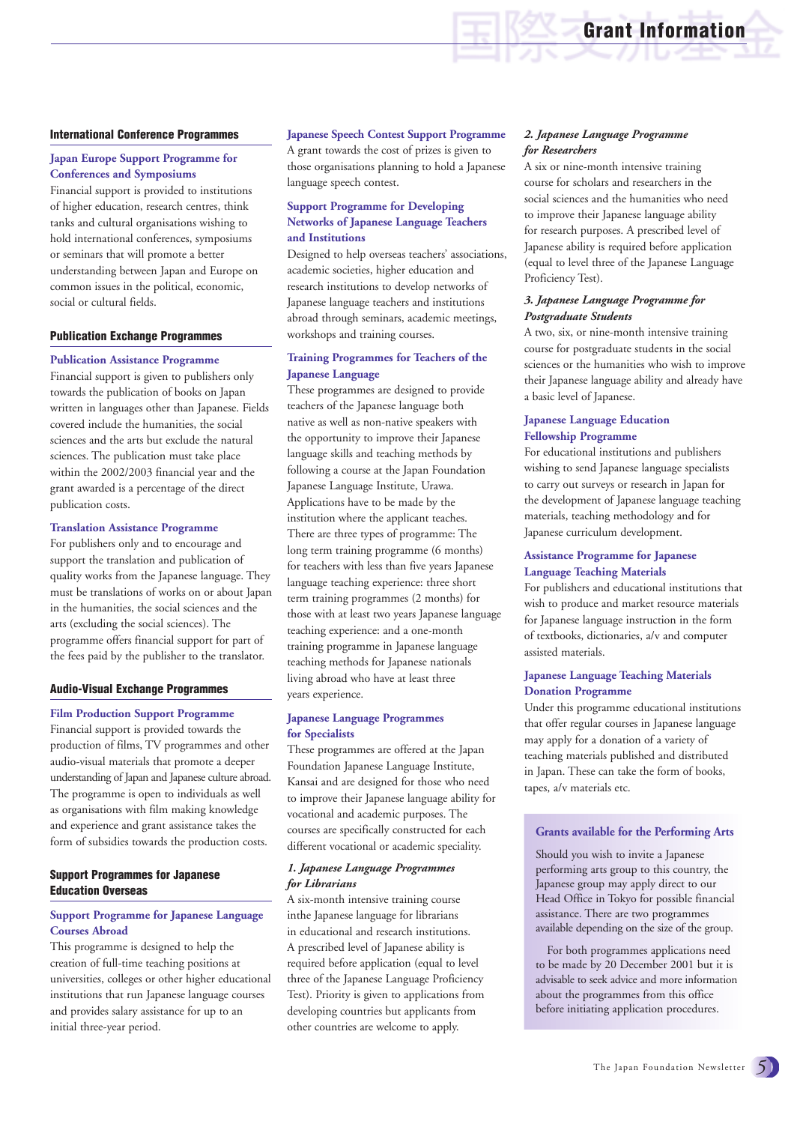#### **International Conference Programmes**

#### **Japan Europe Support Programme for Conferences and Symposiums**

Financial support is provided to institutions of higher education, research centres, think tanks and cultural organisations wishing to hold international conferences, symposiums or seminars that will promote a better understanding between Japan and Europe on common issues in the political, economic, social or cultural fields.

#### **Publication Exchange Programmes**

#### **Publication Assistance Programme**

Financial support is given to publishers only towards the publication of books on Japan written in languages other than Japanese. Fields covered include the humanities, the social sciences and the arts but exclude the natural sciences. The publication must take place within the 2002/2003 financial year and the grant awarded is a percentage of the direct publication costs.

#### **Translation Assistance Programme**

For publishers only and to encourage and support the translation and publication of quality works from the Japanese language. They must be translations of works on or about Japan in the humanities, the social sciences and the arts (excluding the social sciences). The programme offers financial support for part of the fees paid by the publisher to the translator.

#### **Audio-Visual Exchange Programmes**

#### **Film Production Support Programme**

Financial support is provided towards the production of films, TV programmes and other audio-visual materials that promote a deeper understanding of Japan and Japanese culture abroad. The programme is open to individuals as well as organisations with film making knowledge and experience and grant assistance takes the form of subsidies towards the production costs.

#### **Support Programmes for Japanese Education Overseas**

#### **Support Programme for Japanese Language Courses Abroad**

This programme is designed to help the creation of full-time teaching positions at universities, colleges or other higher educational institutions that run Japanese language courses and provides salary assistance for up to an initial three-year period.

**Japanese Speech Contest Support Programme** A grant towards the cost of prizes is given to those organisations planning to hold a Japanese language speech contest.

#### **Support Programme for Developing Networks of Japanese Language Teachers and Institutions**

Designed to help overseas teachers' associations, academic societies, higher education and research institutions to develop networks of Japanese language teachers and institutions abroad through seminars, academic meetings, workshops and training courses.

#### **Training Programmes for Teachers of the Japanese Language**

These programmes are designed to provide teachers of the Japanese language both native as well as non-native speakers with the opportunity to improve their Japanese language skills and teaching methods by following a course at the Japan Foundation Japanese Language Institute, Urawa. Applications have to be made by the institution where the applicant teaches. There are three types of programme: The long term training programme (6 months) for teachers with less than five years Japanese language teaching experience: three short term training programmes (2 months) for those with at least two years Japanese language teaching experience: and a one-month training programme in Japanese language teaching methods for Japanese nationals living abroad who have at least three years experience.

#### **Japanese Language Programmes for Specialists**

These programmes are offered at the Japan Foundation Japanese Language Institute, Kansai and are designed for those who need to improve their Japanese language ability for vocational and academic purposes. The courses are specifically constructed for each different vocational or academic speciality.

#### *1. Japanese Language Programmes for Librarians*

A six-month intensive training course inthe Japanese language for librarians in educational and research institutions. A prescribed level of Japanese ability is required before application (equal to level three of the Japanese Language Proficiency Test). Priority is given to applications from developing countries but applicants from other countries are welcome to apply.

#### *2. Japanese Language Programme for Researchers*

A six or nine-month intensive training course for scholars and researchers in the social sciences and the humanities who need to improve their Japanese language ability for research purposes. A prescribed level of Japanese ability is required before application (equal to level three of the Japanese Language Proficiency Test).

**Grant Information**

#### *3. Japanese Language Programme for Postgraduate Students*

A two, six, or nine-month intensive training course for postgraduate students in the social sciences or the humanities who wish to improve their Japanese language ability and already have a basic level of Japanese.

#### **Japanese Language Education Fellowship Programme**

For educational institutions and publishers wishing to send Japanese language specialists to carry out surveys or research in Japan for the development of Japanese language teaching materials, teaching methodology and for Japanese curriculum development.

#### **Assistance Programme for Japanese Language Teaching Materials**

For publishers and educational institutions that wish to produce and market resource materials for Japanese language instruction in the form of textbooks, dictionaries, a/v and computer assisted materials.

#### **Japanese Language Teaching Materials Donation Programme**

Under this programme educational institutions that offer regular courses in Japanese language may apply for a donation of a variety of teaching materials published and distributed in Japan. These can take the form of books, tapes, a/v materials etc.

#### **Grants available for the Performing Arts**

Should you wish to invite a Japanese performing arts group to this country, the Japanese group may apply direct to our Head Office in Tokyo for possible financial assistance. There are two programmes available depending on the size of the group.

For both programmes applications need to be made by 20 December 2001 but it is advisable to seek advice and more information about the programmes from this office before initiating application procedures.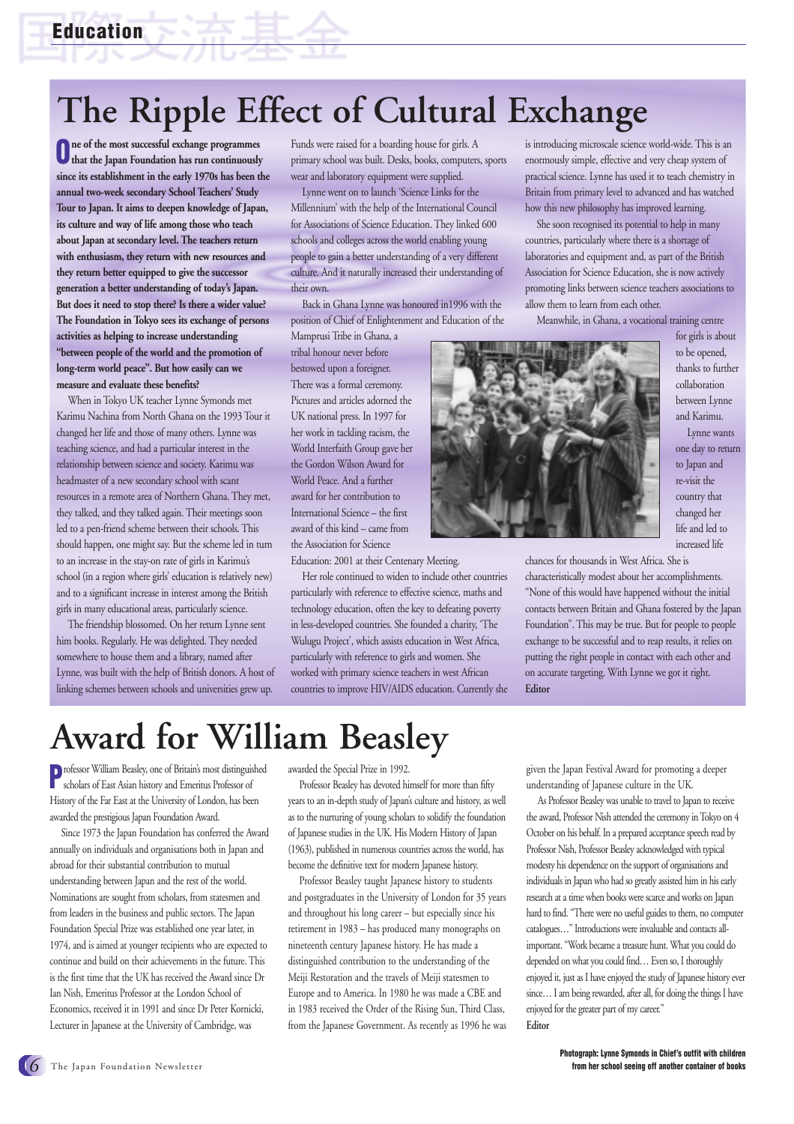# **The Ripple Effect of Cultural Exchange**

**One of the most successful exchange programmes that the Japan Foundation has run continuously since its establishment in the early 1970s has been the annual two-week secondary School Teachers' Study Tour to Japan. It aims to deepen knowledge of Japan, its culture and way of life among those who teach about Japan at secondary level. The teachers return with enthusiasm, they return with new resources and they return better equipped to give the successor generation a better understanding of today's Japan. But does it need to stop there? Is there a wider value? The Foundation in Tokyo sees its exchange of persons activities as helping to increase understanding "between people of the world and the promotion of long-term world peace". But how easily can we measure and evaluate these benefits?**

When in Tokyo UK teacher Lynne Symonds met Karimu Nachina from North Ghana on the 1993 Tour it changed her life and those of many others. Lynne was teaching science, and had a particular interest in the relationship between science and society. Karimu was headmaster of a new secondary school with scant resources in a remote area of Northern Ghana. They met, they talked, and they talked again. Their meetings soon led to a pen-friend scheme between their schools. This should happen, one might say. But the scheme led in turn to an increase in the stay-on rate of girls in Karimu's school (in a region where girls' education is relatively new) and to a significant increase in interest among the British girls in many educational areas, particularly science.

The friendship blossomed. On her return Lynne sent him books. Regularly. He was delighted. They needed somewhere to house them and a library, named after Lynne, was built with the help of British donors. A host of linking schemes between schools and universities grew up.

Funds were raised for a boarding house for girls. A primary school was built. Desks, books, computers, sports wear and laboratory equipment were supplied.

Lynne went on to launch 'Science Links for the Millennium' with the help of the International Council for Associations of Science Education. They linked 600 schools and colleges across the world enabling young people to gain a better understanding of a very different culture. And it naturally increased their understanding of their own.

Back in Ghana Lynne was honoured in1996 with the position of Chief of Enlightenment and Education of the

Mamprusi Tribe in Ghana, a tribal honour never before bestowed upon a foreigner. There was a formal ceremony. Pictures and articles adorned the UK national press. In 1997 for her work in tackling racism, the World Interfaith Group gave her the Gordon Wilson Award for World Peace. And a further award for her contribution to International Science – the first award of this kind – came from the Association for Science

Education: 2001 at their Centenary Meeting.

Her role continued to widen to include other countries particularly with reference to effective science, maths and technology education, often the key to defeating poverty in less-developed countries. She founded a charity, 'The Wulugu Project', which assists education in West Africa, particularly with reference to girls and women. She worked with primary science teachers in west African countries to improve HIV/AIDS education. Currently she

is introducing microscale science world-wide. This is an enormously simple, effective and very cheap system of practical science. Lynne has used it to teach chemistry in Britain from primary level to advanced and has watched how this new philosophy has improved learning.

She soon recognised its potential to help in many countries, particularly where there is a shortage of laboratories and equipment and, as part of the British Association for Science Education, she is now actively promoting links between science teachers associations to allow them to learn from each other.

Meanwhile, in Ghana, a vocational training centre



for girls is about to be opened, thanks to further collaboration between Lynne and Karimu. Lynne wants

one day to return to Japan and re-visit the country that changed her life and led to increased life

chances for thousands in West Africa. She is

characteristically modest about her accomplishments. "None of this would have happened without the initial contacts between Britain and Ghana fostered by the Japan Foundation". This may be true. But for people to people exchange to be successful and to reap results, it relies on putting the right people in contact with each other and on accurate targeting. With Lynne we got it right. **Editor** 

# **Award for William Beasley**

Professor William Beasley, one of Britain's most distinguished scholars of East Asian history and Emeritus Professor of History of the Far East at the University of London, has been awarded the prestigious Japan Foundation Award.

Since 1973 the Japan Foundation has conferred the Award annually on individuals and organisations both in Japan and abroad for their substantial contribution to mutual understanding between Japan and the rest of the world. Nominations are sought from scholars, from statesmen and from leaders in the business and public sectors. The Japan Foundation Special Prize was established one year later, in 1974, and is aimed at younger recipients who are expected to continue and build on their achievements in the future. This is the first time that the UK has received the Award since Dr Ian Nish, Emeritus Professor at the London School of Economics, received it in 1991 and since Dr Peter Kornicki, Lecturer in Japanese at the University of Cambridge, was

awarded the Special Prize in 1992.

Professor Beasley has devoted himself for more than fifty years to an in-depth study of Japan's culture and history, as well as to the nurturing of young scholars to solidify the foundation of Japanese studies in the UK. His Modern History of Japan (1963), published in numerous countries across the world, has become the definitive text for modern Japanese history.

Professor Beasley taught Japanese history to students and postgraduates in the University of London for 35 years and throughout his long career – but especially since his retirement in 1983 – has produced many monographs on nineteenth century Japanese history. He has made a distinguished contribution to the understanding of the Meiji Restoration and the travels of Meiji statesmen to Europe and to America. In 1980 he was made a CBE and in 1983 received the Order of the Rising Sun, Third Class, from the Japanese Government. As recently as 1996 he was

given the Japan Festival Award for promoting a deeper understanding of Japanese culture in the UK.

As Professor Beasley was unable to travel to Japan to receive the award, Professor Nish attended the ceremony in Tokyo on 4 October on his behalf. In a prepared acceptance speech read by Professor Nish, Professor Beasley acknowledged with typical modesty his dependence on the support of organisations and individuals in Japan who had so greatly assisted him in his early research at a time when books were scarce and works on Japan hard to find. "There were no useful guides to them, no computer catalogues…" Introductions were invaluable and contacts allimportant. "Work became a treasure hunt. What you could do depended on what you could find… Even so, I thoroughly enjoyed it, just as I have enjoyed the study of Japanese history ever since... I am being rewarded, after all, for doing the things I have enjoyed for the greater part of my career." **Editor**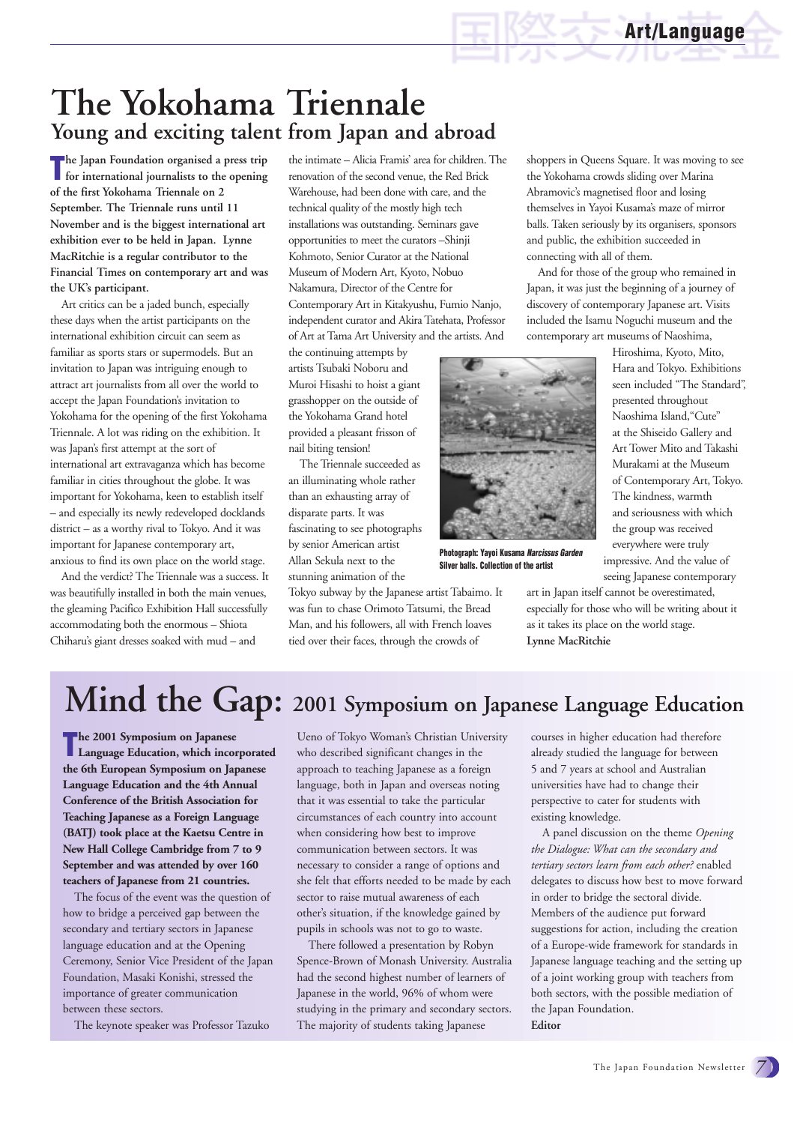## **The Yokohama Triennale Young and exciting talent from Japan and abroad**

**The Japan Foundation organised a press trip**<br> **The for international journalists to the opening for international journalists to the opening of the first Yokohama Triennale on 2 September. The Triennale runs until 11 November and is the biggest international art exhibition ever to be held in Japan. Lynne MacRitchie is a regular contributor to the Financial Times on contemporary art and was the UK's participant.** 

Art critics can be a jaded bunch, especially these days when the artist participants on the international exhibition circuit can seem as familiar as sports stars or supermodels. But an invitation to Japan was intriguing enough to attract art journalists from all over the world to accept the Japan Foundation's invitation to Yokohama for the opening of the first Yokohama Triennale. A lot was riding on the exhibition. It was Japan's first attempt at the sort of international art extravaganza which has become familiar in cities throughout the globe. It was important for Yokohama, keen to establish itself – and especially its newly redeveloped docklands district – as a worthy rival to Tokyo. And it was important for Japanese contemporary art, anxious to find its own place on the world stage.

And the verdict? The Triennale was a success. It was beautifully installed in both the main venues, the gleaming Pacifico Exhibition Hall successfully accommodating both the enormous – Shiota Chiharu's giant dresses soaked with mud – and

the intimate – Alicia Framis' area for children. The renovation of the second venue, the Red Brick Warehouse, had been done with care, and the technical quality of the mostly high tech installations was outstanding. Seminars gave opportunities to meet the curators –Shinji Kohmoto, Senior Curator at the National Museum of Modern Art, Kyoto, Nobuo Nakamura, Director of the Centre for Contemporary Art in Kitakyushu, Fumio Nanjo, independent curator and Akira Tatehata, Professor of Art at Tama Art University and the artists. And

the continuing attempts by artists Tsubaki Noboru and Muroi Hisashi to hoist a giant grasshopper on the outside of the Yokohama Grand hotel provided a pleasant frisson of nail biting tension!

The Triennale succeeded as an illuminating whole rather than an exhausting array of disparate parts. It was fascinating to see photographs by senior American artist Allan Sekula next to the stunning animation of the

Tokyo subway by the Japanese artist Tabaimo. It was fun to chase Orimoto Tatsumi, the Bread Man, and his followers, all with French loaves tied over their faces, through the crowds of

shoppers in Queens Square. It was moving to see the Yokohama crowds sliding over Marina Abramovic's magnetised floor and losing themselves in Yayoi Kusama's maze of mirror balls. Taken seriously by its organisers, sponsors and public, the exhibition succeeded in connecting with all of them.

And for those of the group who remained in Japan, it was just the beginning of a journey of discovery of contemporary Japanese art. Visits included the Isamu Noguchi museum and the contemporary art museums of Naoshima,

> Hiroshima, Kyoto, Mito, Hara and Tokyo. Exhibitions seen included "The Standard", presented throughout Naoshima Island,"Cute" at the Shiseido Gallery and Art Tower Mito and Takashi Murakami at the Museum of Contemporary Art, Tokyo. The kindness, warmth and seriousness with which the group was received everywhere were truly



**Photograph: Yayoi Kusama** *Narcissus Garden* **Silver balls. Collection of the artist**

**Lynne MacRitchie**

impressive. And the value of seeing Japanese contemporary art in Japan itself cannot be overestimated, especially for those who will be writing about it as it takes its place on the world stage.

**Mind the Gap: 2001 Symposium on Japanese Language Education**

**The 2001 Symposium on Japanese**<br>
Language Education, which incorporated **he 2001 Symposium on Japanese the 6th European Symposium on Japanese Language Education and the 4th Annual Conference of the British Association for Teaching Japanese as a Foreign Language (BATJ) took place at the Kaetsu Centre in New Hall College Cambridge from 7 to 9 September and was attended by over 160 teachers of Japanese from 21 countries.**

The focus of the event was the question of how to bridge a perceived gap between the secondary and tertiary sectors in Japanese language education and at the Opening Ceremony, Senior Vice President of the Japan Foundation, Masaki Konishi, stressed the importance of greater communication between these sectors.

The keynote speaker was Professor Tazuko

Ueno of Tokyo Woman's Christian University who described significant changes in the approach to teaching Japanese as a foreign language, both in Japan and overseas noting that it was essential to take the particular circumstances of each country into account when considering how best to improve communication between sectors. It was necessary to consider a range of options and she felt that efforts needed to be made by each sector to raise mutual awareness of each other's situation, if the knowledge gained by pupils in schools was not to go to waste.

There followed a presentation by Robyn Spence-Brown of Monash University. Australia had the second highest number of learners of Japanese in the world, 96% of whom were studying in the primary and secondary sectors. The majority of students taking Japanese

courses in higher education had therefore already studied the language for between 5 and 7 years at school and Australian universities have had to change their perspective to cater for students with existing knowledge.

A panel discussion on the theme *Opening the Dialogue: What can the secondary and tertiary sectors learn from each other?* enabled delegates to discuss how best to move forward in order to bridge the sectoral divide. Members of the audience put forward suggestions for action, including the creation of a Europe-wide framework for standards in Japanese language teaching and the setting up of a joint working group with teachers from both sectors, with the possible mediation of the Japan Foundation. **Editor**